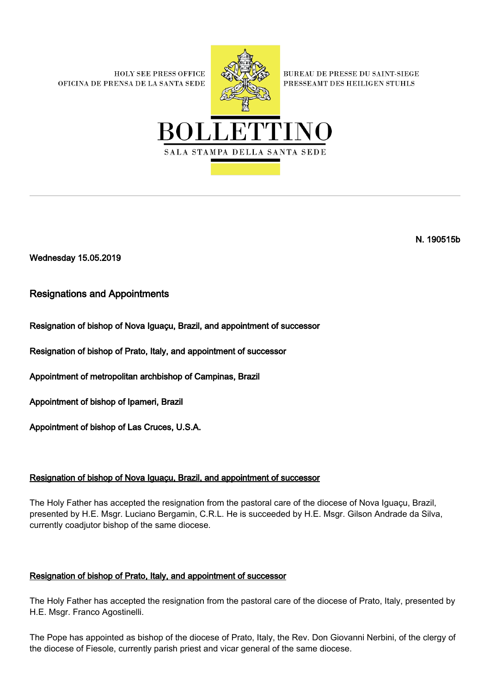**HOLY SEE PRESS OFFICE** OFICINA DE PRENSA DE LA SANTA SEDE



**BUREAU DE PRESSE DU SAINT-SIEGE** PRESSEAMT DES HEILIGEN STUHLS



N. 190515b

Wednesday 15.05.2019

# Resignations and Appointments

# Resignation of bishop of Nova Iguaçu, Brazil, and appointment of successor

Resignation of bishop of Prato, Italy, and appointment of successor

Appointment of metropolitan archbishop of Campinas, Brazil

Appointment of bishop of Ipameri, Brazil

Appointment of bishop of Las Cruces, U.S.A.

## Resignation of bishop of Nova Iguaçu, Brazil, and appointment of successor

The Holy Father has accepted the resignation from the pastoral care of the diocese of Nova Iguaçu, Brazil, presented by H.E. Msgr. Luciano Bergamin, C.R.L. He is succeeded by H.E. Msgr. Gilson Andrade da Silva, currently coadjutor bishop of the same diocese.

## Resignation of bishop of Prato, Italy, and appointment of successor

The Holy Father has accepted the resignation from the pastoral care of the diocese of Prato, Italy, presented by H.E. Msgr. Franco Agostinelli.

The Pope has appointed as bishop of the diocese of Prato, Italy, the Rev. Don Giovanni Nerbini, of the clergy of the diocese of Fiesole, currently parish priest and vicar general of the same diocese.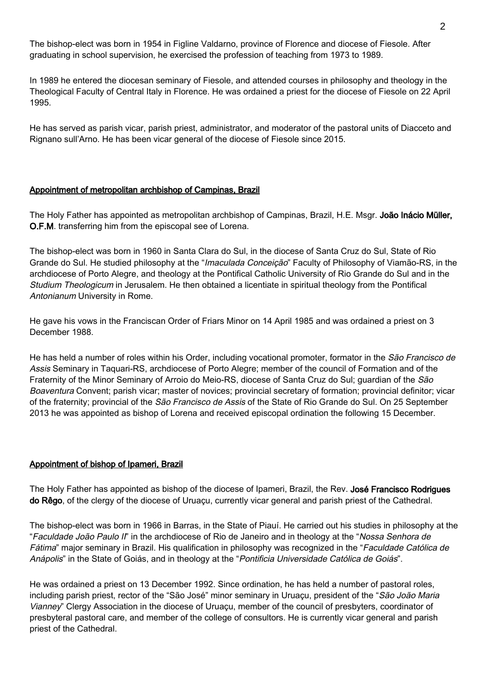The bishop-elect was born in 1954 in Figline Valdarno, province of Florence and diocese of Fiesole. After graduating in school supervision, he exercised the profession of teaching from 1973 to 1989.

In 1989 he entered the diocesan seminary of Fiesole, and attended courses in philosophy and theology in the Theological Faculty of Central Italy in Florence. He was ordained a priest for the diocese of Fiesole on 22 April 1995.

He has served as parish vicar, parish priest, administrator, and moderator of the pastoral units of Diacceto and Rignano sull'Arno. He has been vicar general of the diocese of Fiesole since 2015.

#### Appointment of metropolitan archbishop of Campinas, Brazil

The Holy Father has appointed as metropolitan archbishop of Campinas, Brazil, H.E. Msgr. João Inácio Müller, O.F.M. transferring him from the episcopal see of Lorena.

The bishop-elect was born in 1960 in Santa Clara do Sul, in the diocese of Santa Cruz do Sul, State of Rio Grande do Sul. He studied philosophy at the "Imaculada Conceição" Faculty of Philosophy of Viamão-RS, in the archdiocese of Porto Alegre, and theology at the Pontifical Catholic University of Rio Grande do Sul and in the Studium Theologicum in Jerusalem. He then obtained a licentiate in spiritual theology from the Pontifical Antonianum University in Rome.

He gave his vows in the Franciscan Order of Friars Minor on 14 April 1985 and was ordained a priest on 3 December 1988.

He has held a number of roles within his Order, including vocational promoter, formator in the *São Francisco de* Assis Seminary in Taquari-RS, archdiocese of Porto Alegre; member of the council of Formation and of the Fraternity of the Minor Seminary of Arroio do Meio-RS, diocese of Santa Cruz do Sul; guardian of the São Boaventura Convent; parish vicar; master of novices; provincial secretary of formation; provincial definitor; vicar of the fraternity; provincial of the São Francisco de Assis of the State of Rio Grande do Sul. On 25 September 2013 he was appointed as bishop of Lorena and received episcopal ordination the following 15 December.

#### Appointment of bishop of Ipameri, Brazil

The Holy Father has appointed as bishop of the diocese of Ipameri, Brazil, the Rev. José Francisco Rodrigues do Rêgo, of the clergy of the diocese of Uruaçu, currently vicar general and parish priest of the Cathedral.

The bishop-elect was born in 1966 in Barras, in the State of Piauí. He carried out his studies in philosophy at the "Faculdade João Paulo II" in the archdiocese of Rio de Janeiro and in theology at the "Nossa Senhora de Fátima" major seminary in Brazil. His qualification in philosophy was recognized in the "Faculdade Católica de Anápolis" in the State of Goiás, and in theology at the "Pontificia Universidade Católica de Goiás".

He was ordained a priest on 13 December 1992. Since ordination, he has held a number of pastoral roles, including parish priest, rector of the "São José" minor seminary in Uruaçu, president of the "São João Maria Vianney" Clergy Association in the diocese of Uruaçu, member of the council of presbyters, coordinator of presbyteral pastoral care, and member of the college of consultors. He is currently vicar general and parish priest of the Cathedral.